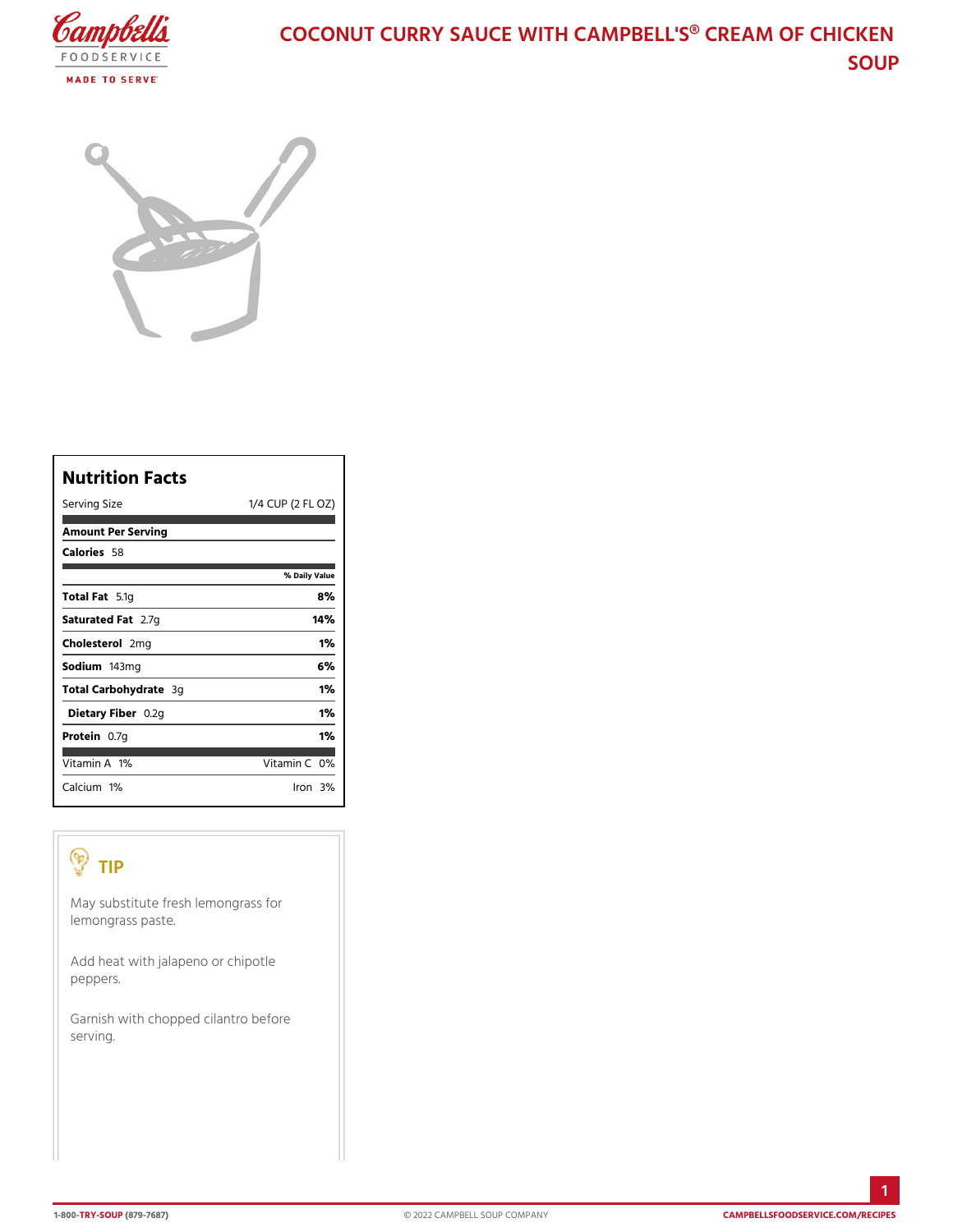## COCONUT CURRY SAUCE WITH CAMPBELL'S SOUP

| Nutrition Facts       |                       |  |
|-----------------------|-----------------------|--|
| Serving Size          | 1/4 CUP (2)<br>FL OZ) |  |
| Amount Per Serving    |                       |  |
| Calorie5s8            |                       |  |
|                       | % Daily Value         |  |
| Total F5at1g          | 8%                    |  |
| Saturated 2F. atg     | 14%                   |  |
| Choleste 20mlg        | 1%                    |  |
| Sodium 43mg           | 6%                    |  |
| Total Carbohy&dgate   | 1%                    |  |
| Dietary Fülb2egn      | 1%                    |  |
| Protei <b>û</b> .7g   | 1%                    |  |
| Vitamin1A%            | Vitamin0 <b>%</b>     |  |
| Calcium <sup>n%</sup> | lron39                |  |

## TIP

May substitute fresh lemongrass for lemongrass paste.

Add heat with jalapeno or chipotle peppers.

Garnish with chopped cilantro before serving.